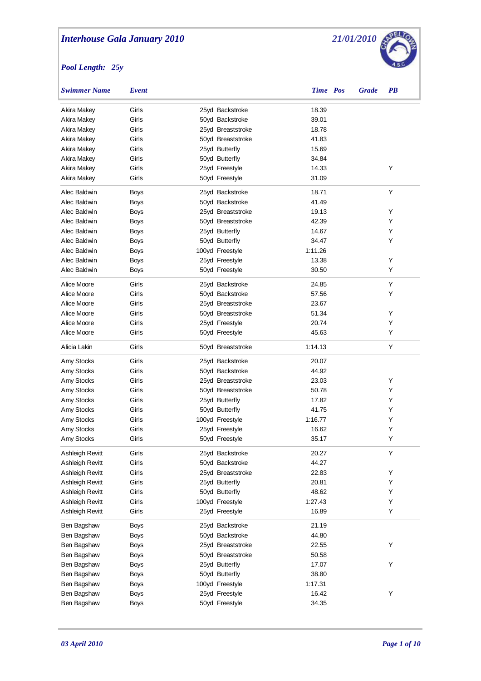

| Swimmer Name    | Event       |                   | Time Pos | <b>Grade</b> | <b>PB</b> |  |
|-----------------|-------------|-------------------|----------|--------------|-----------|--|
| Akira Makey     | Girls       | 25yd Backstroke   | 18.39    |              |           |  |
| Akira Makey     | Girls       | 50yd Backstroke   | 39.01    |              |           |  |
| Akira Makey     | Girls       | 25yd Breaststroke | 18.78    |              |           |  |
| Akira Makey     | Girls       | 50yd Breaststroke | 41.83    |              |           |  |
| Akira Makey     | Girls       | 25yd Butterfly    | 15.69    |              |           |  |
| Akira Makey     | Girls       | 50yd Butterfly    | 34.84    |              |           |  |
| Akira Makey     | Girls       | 25yd Freestyle    | 14.33    |              | Y         |  |
| Akira Makey     | Girls       | 50yd Freestyle    | 31.09    |              |           |  |
| Alec Baldwin    | <b>Boys</b> | 25yd Backstroke   | 18.71    |              | Y         |  |
| Alec Baldwin    | Boys        | 50yd Backstroke   | 41.49    |              |           |  |
| Alec Baldwin    | Boys        | 25yd Breaststroke | 19.13    |              | Y         |  |
| Alec Baldwin    | Boys        | 50yd Breaststroke | 42.39    |              | Υ         |  |
| Alec Baldwin    | Boys        | 25yd Butterfly    | 14.67    |              | Υ         |  |
| Alec Baldwin    | Boys        | 50yd Butterfly    | 34.47    |              | Υ         |  |
| Alec Baldwin    | Boys        | 100yd Freestyle   | 1:11.26  |              |           |  |
| Alec Baldwin    | Boys        | 25yd Freestyle    | 13.38    |              | Y         |  |
| Alec Baldwin    | Boys        | 50yd Freestyle    | 30.50    |              | Y         |  |
| Alice Moore     | Girls       | 25yd Backstroke   | 24.85    |              | Υ         |  |
| Alice Moore     | Girls       | 50yd Backstroke   | 57.56    |              | Υ         |  |
| Alice Moore     | Girls       | 25yd Breaststroke | 23.67    |              |           |  |
| Alice Moore     | Girls       | 50yd Breaststroke | 51.34    |              | Υ         |  |
| Alice Moore     | Girls       | 25yd Freestyle    | 20.74    |              | Υ         |  |
| Alice Moore     | Girls       | 50yd Freestyle    | 45.63    |              | Υ         |  |
| Alicia Lakin    | Girls       | 50yd Breaststroke | 1:14.13  |              | Υ         |  |
| Amy Stocks      | Girls       | 25yd Backstroke   | 20.07    |              |           |  |
| Amy Stocks      | Girls       | 50yd Backstroke   | 44.92    |              |           |  |
| Amy Stocks      | Girls       | 25yd Breaststroke | 23.03    |              | Υ         |  |
| Amy Stocks      | Girls       | 50yd Breaststroke | 50.78    |              | Υ         |  |
| Amy Stocks      | Girls       | 25yd Butterfly    | 17.82    |              | Υ         |  |
| Amy Stocks      | Girls       | 50yd Butterfly    | 41.75    |              | Υ         |  |
| Amy Stocks      | Girls       | 100yd Freestyle   | 1:16.77  |              | Υ         |  |
| Amy Stocks      | Girls       | 25yd Freestyle    | 16.62    |              | Υ         |  |
| Amy Stocks      | Girls       | 50yd Freestyle    | 35.17    |              | Υ         |  |
| Ashleigh Revitt | Girls       | 25yd Backstroke   | 20.27    |              | Υ         |  |
| Ashleigh Revitt | Girls       | 50yd Backstroke   | 44.27    |              |           |  |
| Ashleigh Revitt | Girls       | 25yd Breaststroke | 22.83    |              | Υ         |  |
| Ashleigh Revitt | Girls       | 25yd Butterfly    | 20.81    |              | Υ         |  |
| Ashleigh Revitt | Girls       | 50yd Butterfly    | 48.62    |              | Υ         |  |
| Ashleigh Revitt | Girls       | 100yd Freestyle   | 1:27.43  |              | Υ         |  |
| Ashleigh Revitt | Girls       | 25yd Freestyle    | 16.89    |              | Υ         |  |
| Ben Bagshaw     | <b>Boys</b> | 25yd Backstroke   | 21.19    |              |           |  |
| Ben Bagshaw     | <b>Boys</b> | 50yd Backstroke   | 44.80    |              |           |  |
| Ben Bagshaw     | <b>Boys</b> | 25yd Breaststroke | 22.55    |              | Υ         |  |
| Ben Bagshaw     | <b>Boys</b> | 50yd Breaststroke | 50.58    |              |           |  |
| Ben Bagshaw     | <b>Boys</b> | 25yd Butterfly    | 17.07    |              | Υ         |  |
| Ben Bagshaw     | <b>Boys</b> | 50yd Butterfly    | 38.80    |              |           |  |
| Ben Bagshaw     | <b>Boys</b> | 100yd Freestyle   | 1:17.31  |              |           |  |
| Ben Bagshaw     | <b>Boys</b> | 25yd Freestyle    | 16.42    |              | Υ         |  |
| Ben Bagshaw     | <b>Boys</b> | 50yd Freestyle    | 34.35    |              |           |  |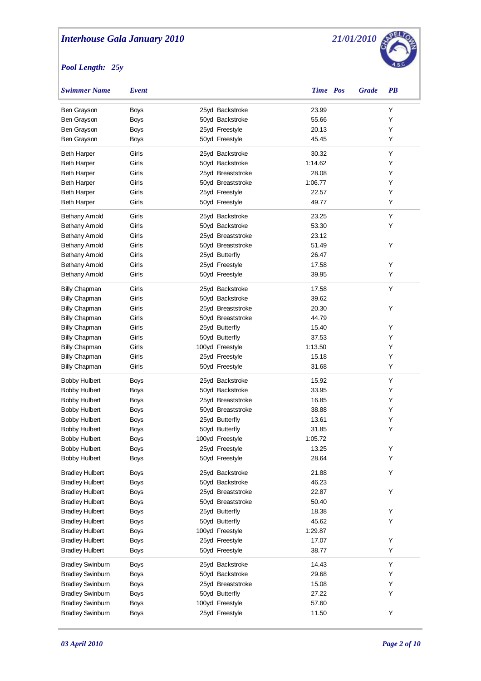

| <b>Swimmer Name</b>                      | Event          |                                  | <b>Time</b> Pos  | <b>Grade</b> | <b>PB</b> |  |
|------------------------------------------|----------------|----------------------------------|------------------|--------------|-----------|--|
| Ben Grayson                              | <b>Boys</b>    | 25yd Backstroke                  | 23.99            |              | Υ         |  |
| Ben Grayson                              | <b>Boys</b>    | 50yd Backstroke                  | 55.66            |              | Υ         |  |
| Ben Grayson                              | <b>Boys</b>    | 25yd Freestyle                   | 20.13            |              | Υ         |  |
| Ben Grayson                              | Boys           | 50yd Freestyle                   | 45.45            |              | Υ         |  |
|                                          |                |                                  |                  |              | Υ         |  |
| <b>Beth Harper</b>                       | Girls          | 25yd Backstroke                  | 30.32            |              |           |  |
| <b>Beth Harper</b>                       | Girls          | 50yd Backstroke                  | 1:14.62          |              | Υ         |  |
| <b>Beth Harper</b>                       | Girls          | 25yd Breaststroke                | 28.08            |              | Υ         |  |
| <b>Beth Harper</b>                       | Girls<br>Girls | 50yd Breaststroke                | 1:06.77<br>22.57 |              | Υ<br>Υ    |  |
| <b>Beth Harper</b><br><b>Beth Harper</b> | Girls          | 25yd Freestyle<br>50yd Freestyle | 49.77            |              | Υ         |  |
|                                          |                |                                  |                  |              |           |  |
| <b>Bethany Arnold</b>                    | Girls          | 25yd Backstroke                  | 23.25            |              | Υ         |  |
| <b>Bethany Arnold</b>                    | Girls          | 50yd Backstroke                  | 53.30            |              | Υ         |  |
| <b>Bethany Arnold</b>                    | Girls          | 25yd Breaststroke                | 23.12            |              |           |  |
| <b>Bethany Arnold</b>                    | Girls          | 50yd Breaststroke                | 51.49            |              | Υ         |  |
| <b>Bethany Arnold</b>                    | Girls          | 25yd Butterfly                   | 26.47            |              |           |  |
| <b>Bethany Arnold</b>                    | Girls          | 25yd Freestyle                   | 17.58            |              | Υ         |  |
| <b>Bethany Arnold</b>                    | Girls          | 50yd Freestyle                   | 39.95            |              | Υ         |  |
| <b>Billy Chapman</b>                     | Girls          | 25yd Backstroke                  | 17.58            |              | Υ         |  |
| <b>Billy Chapman</b>                     | Girls          | 50yd Backstroke                  | 39.62            |              |           |  |
| <b>Billy Chapman</b>                     | Girls          | 25yd Breaststroke                | 20.30            |              | Υ         |  |
| <b>Billy Chapman</b>                     | Girls          | 50yd Breaststroke                | 44.79            |              |           |  |
| <b>Billy Chapman</b>                     | Girls          | 25yd Butterfly                   | 15.40            |              | Υ         |  |
| <b>Billy Chapman</b>                     | Girls          | 50yd Butterfly                   | 37.53            |              | Υ         |  |
| <b>Billy Chapman</b>                     | Girls          | 100yd Freestyle                  | 1:13.50          |              | Υ         |  |
| <b>Billy Chapman</b>                     | Girls          | 25yd Freestyle                   | 15.18            |              | Υ         |  |
| <b>Billy Chapman</b>                     | Girls          | 50yd Freestyle                   | 31.68            |              | Υ         |  |
| Bobby Hulbert                            | Boys           | 25yd Backstroke                  | 15.92            |              | Υ         |  |
| <b>Bobby Hulbert</b>                     | <b>Boys</b>    | 50yd Backstroke                  | 33.95            |              | Υ         |  |
| <b>Bobby Hulbert</b>                     | Boys           | 25yd Breaststroke                | 16.85            |              | Υ         |  |
| <b>Bobby Hulbert</b>                     | Boys           | 50yd Breaststroke                | 38.88            |              | Υ         |  |
| <b>Bobby Hulbert</b>                     | Boys           | 25yd Butterfly                   | 13.61            |              | Υ         |  |
| <b>Bobby Hulbert</b>                     | Boys           | 50yd Butterfly                   | 31.85            |              | Υ         |  |
| <b>Bobby Hulbert</b>                     | Boys           | 100yd Freestyle                  | 1:05.72          |              |           |  |
| <b>Bobby Hulbert</b>                     | Boys           | 25yd Freestyle                   | 13.25            |              | Υ         |  |
| <b>Bobby Hulbert</b>                     | Boys           | 50yd Freestyle                   | 28.64            |              | Υ         |  |
| <b>Bradley Hulbert</b>                   | Boys           | 25yd Backstroke                  | 21.88            |              | Υ         |  |
| <b>Bradley Hulbert</b>                   | <b>Boys</b>    | 50yd Backstroke                  | 46.23            |              |           |  |
| <b>Bradley Hulbert</b>                   | Boys           | 25yd Breaststroke                | 22.87            |              | Υ         |  |
| <b>Bradley Hulbert</b>                   | Boys           | 50yd Breaststroke                | 50.40            |              |           |  |
| <b>Bradley Hulbert</b>                   | Boys           | 25yd Butterfly                   | 18.38            |              | Υ         |  |
| <b>Bradley Hulbert</b>                   | Boys           | 50yd Butterfly                   | 45.62            |              | Υ         |  |
| <b>Bradley Hulbert</b>                   | Boys           | 100yd Freestyle                  | 1:29.87          |              |           |  |
| <b>Bradley Hulbert</b>                   | Boys           | 25yd Freestyle                   | 17.07            |              | Υ         |  |
| <b>Bradley Hulbert</b>                   | Boys           | 50yd Freestyle                   | 38.77            |              | Υ         |  |
| <b>Bradley Swinburn</b>                  | Boys           | 25yd Backstroke                  | 14.43            |              | Υ         |  |
| <b>Bradley Swinburn</b>                  | Boys           | 50yd Backstroke                  | 29.68            |              | Y         |  |
| <b>Bradley Swinburn</b>                  | Boys           | 25yd Breaststroke                | 15.08            |              | Y         |  |
| <b>Bradley Swinburn</b>                  | Boys           | 50yd Butterfly                   | 27.22            |              | Υ         |  |
| <b>Bradley Swinburn</b>                  | Boys           | 100yd Freestyle                  | 57.60            |              |           |  |
| <b>Bradley Swinburn</b>                  | Boys           | 25yd Freestyle                   | 11.50            |              | Υ         |  |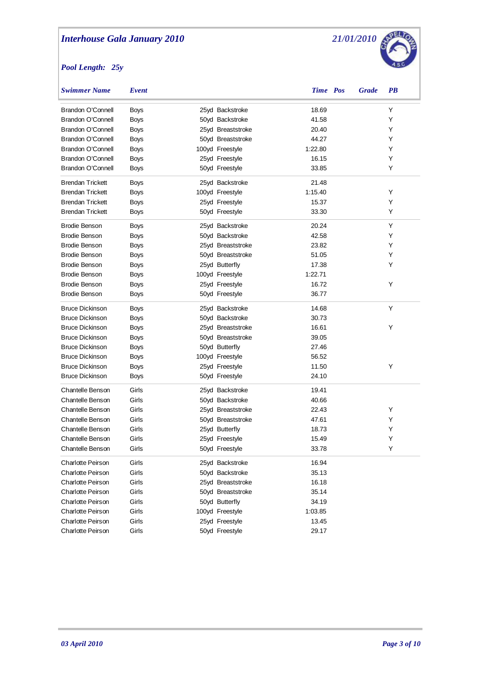

| <b>Swimmer Name</b>      | Event       |                   | <b>Time</b> Pos | <b>Grade</b> | <b>PB</b> |
|--------------------------|-------------|-------------------|-----------------|--------------|-----------|
| <b>Brandon O'Connell</b> | <b>Boys</b> | 25yd Backstroke   | 18.69           |              | Y         |
| Brandon O'Connell        | <b>Boys</b> | 50yd Backstroke   | 41.58           |              | Y         |
| <b>Brandon O'Connell</b> | Boys        | 25yd Breaststroke | 20.40           |              | Y         |
| <b>Brandon O'Connell</b> | Boys        | 50yd Breaststroke | 44.27           |              | Y         |
| <b>Brandon O'Connell</b> | Boys        | 100yd Freestyle   | 1:22.80         |              | Y         |
| Brandon O'Connell        | Boys        | 25yd Freestyle    | 16.15           |              | Y         |
| Brandon O'Connell        | Boys        | 50yd Freestyle    | 33.85           |              | Y         |
| <b>Brendan Trickett</b>  | <b>Boys</b> | 25yd Backstroke   | 21.48           |              |           |
| <b>Brendan Trickett</b>  | <b>Boys</b> | 100yd Freestyle   | 1:15.40         |              | Y         |
| <b>Brendan Trickett</b>  | Boys        | 25yd Freestyle    | 15.37           |              | Y         |
| <b>Brendan Trickett</b>  | Boys        | 50yd Freestyle    | 33.30           |              | Y         |
| <b>Brodie Benson</b>     | <b>Boys</b> | 25yd Backstroke   | 20.24           |              | Y         |
| <b>Brodie Benson</b>     | <b>Boys</b> | 50yd Backstroke   | 42.58           |              | Y         |
| <b>Brodie Benson</b>     | <b>Boys</b> | 25yd Breaststroke | 23.82           |              | Y         |
| <b>Brodie Benson</b>     | <b>Boys</b> | 50yd Breaststroke | 51.05           |              | Y         |
| <b>Brodie Benson</b>     | <b>Boys</b> | 25yd Butterfly    | 17.38           |              | Y         |
| <b>Brodie Benson</b>     | <b>Boys</b> | 100yd Freestyle   | 1:22.71         |              |           |
| <b>Brodie Benson</b>     | <b>Boys</b> | 25yd Freestyle    | 16.72           |              | Y         |
| <b>Brodie Benson</b>     | <b>Boys</b> | 50yd Freestyle    | 36.77           |              |           |
| <b>Bruce Dickinson</b>   | <b>Boys</b> | 25yd Backstroke   | 14.68           |              | Y         |
| <b>Bruce Dickinson</b>   | <b>Boys</b> | 50yd Backstroke   | 30.73           |              |           |
| <b>Bruce Dickinson</b>   | <b>Boys</b> | 25yd Breaststroke | 16.61           |              | Y         |
| <b>Bruce Dickinson</b>   | <b>Boys</b> | 50yd Breaststroke | 39.05           |              |           |
| <b>Bruce Dickinson</b>   | <b>Boys</b> | 50yd Butterfly    | 27.46           |              |           |
| <b>Bruce Dickinson</b>   | <b>Boys</b> | 100yd Freestyle   | 56.52           |              |           |
| <b>Bruce Dickinson</b>   | <b>Boys</b> | 25yd Freestyle    | 11.50           |              | Υ         |
| <b>Bruce Dickinson</b>   | Boys        | 50yd Freestyle    | 24.10           |              |           |
| <b>Chantelle Benson</b>  | Girls       | 25yd Backstroke   | 19.41           |              |           |
| <b>Chantelle Benson</b>  | Girls       | 50yd Backstroke   | 40.66           |              |           |
| <b>Chantelle Benson</b>  | Girls       | 25yd Breaststroke | 22.43           |              | Y         |
| <b>Chantelle Benson</b>  | Girls       | 50yd Breaststroke | 47.61           |              | Y         |
| Chantelle Benson         | Girls       | 25yd Butterfly    | 18.73           |              | Υ         |
| <b>Chantelle Benson</b>  | Girls       | 25yd Freestyle    | 15.49           |              | Υ         |
| Chantelle Benson         | Girls       | 50yd Freestyle    | 33.78           |              |           |
| Charlotte Peirson        | Girls       | 25yd Backstroke   | 16.94           |              |           |
| Charlotte Peirson        | Girls       | 50yd Backstroke   | 35.13           |              |           |
| Charlotte Peirson        | Girls       | 25yd Breaststroke | 16.18           |              |           |
| Charlotte Peirson        | Girls       | 50yd Breaststroke | 35.14           |              |           |
| Charlotte Peirson        | Girls       | 50yd Butterfly    | 34.19           |              |           |
| Charlotte Peirson        | Girls       | 100yd Freestyle   | 1:03.85         |              |           |
| Charlotte Peirson        | Girls       | 25yd Freestyle    | 13.45           |              |           |
| Charlotte Peirson        | Girls       | 50yd Freestyle    | 29.17           |              |           |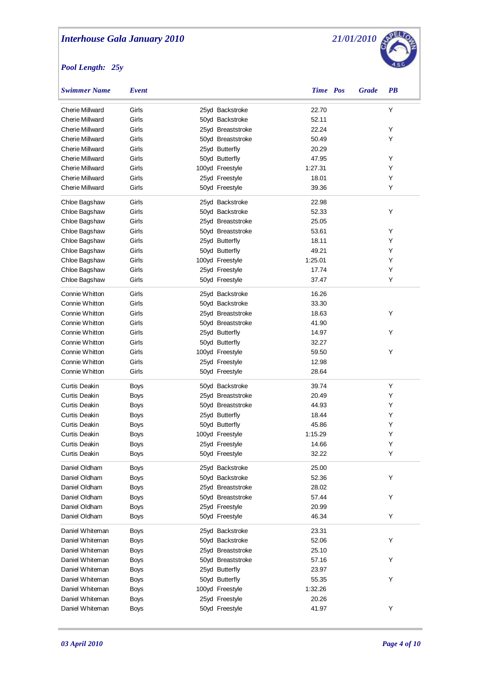

| <b>Swimmer Name</b>    | Event       |                   | Time Pos | <b>Grade</b> | <b>PB</b> |
|------------------------|-------------|-------------------|----------|--------------|-----------|
| <b>Cherie Millward</b> | Girls       | 25yd Backstroke   | 22.70    |              | Υ         |
| <b>Cherie Millward</b> | Girls       | 50yd Backstroke   | 52.11    |              |           |
| <b>Cherie Millward</b> | Girls       | 25yd Breaststroke | 22.24    |              | Υ         |
| <b>Cherie Millward</b> | Girls       | 50yd Breaststroke | 50.49    |              | Υ         |
| <b>Cherie Millward</b> | Girls       | 25yd Butterfly    | 20.29    |              |           |
| <b>Cherie Millward</b> | Girls       | 50yd Butterfly    | 47.95    |              | Υ         |
| Cherie Millward        | Girls       | 100yd Freestyle   | 1:27.31  |              | Υ         |
| Cherie Millward        | Girls       | 25yd Freestyle    | 18.01    |              | Υ         |
| <b>Cherie Millward</b> | Girls       | 50yd Freestyle    | 39.36    |              | Υ         |
| Chloe Bagshaw          | Girls       | 25yd Backstroke   | 22.98    |              |           |
| Chloe Bagshaw          | Girls       | 50yd Backstroke   | 52.33    |              | Υ         |
| Chloe Bagshaw          | Girls       | 25yd Breaststroke | 25.05    |              |           |
| Chloe Bagshaw          | Girls       | 50yd Breaststroke | 53.61    |              | Υ         |
| Chloe Bagshaw          | Girls       | 25yd Butterfly    | 18.11    |              | Υ         |
| Chloe Bagshaw          | Girls       | 50yd Butterfly    | 49.21    |              | Y         |
| Chloe Bagshaw          | Girls       | 100yd Freestyle   | 1:25.01  |              | Υ         |
| Chloe Bagshaw          | Girls       | 25yd Freestyle    | 17.74    |              | Υ         |
| Chloe Bagshaw          | Girls       | 50yd Freestyle    | 37.47    |              | Υ         |
| Connie Whitton         | Girls       | 25yd Backstroke   | 16.26    |              |           |
| Connie Whitton         | Girls       | 50yd Backstroke   | 33.30    |              |           |
| Connie Whitton         | Girls       | 25yd Breaststroke | 18.63    |              | Υ         |
| Connie Whitton         | Girls       | 50yd Breaststroke | 41.90    |              |           |
| Connie Whitton         | Girls       | 25yd Butterfly    | 14.97    |              | Υ         |
| Connie Whitton         | Girls       | 50yd Butterfly    | 32.27    |              |           |
| Connie Whitton         | Girls       | 100yd Freestyle   | 59.50    |              | Y         |
| Connie Whitton         | Girls       | 25yd Freestyle    | 12.98    |              |           |
| Connie Whitton         | Girls       | 50yd Freestyle    | 28.64    |              |           |
| Curtis Deakin          | Boys        | 50yd Backstroke   | 39.74    |              | Υ         |
| Curtis Deakin          | <b>Boys</b> | 25yd Breaststroke | 20.49    |              | Υ         |
| Curtis Deakin          | Boys        | 50yd Breaststroke | 44.93    |              | Υ         |
| Curtis Deakin          | Boys        | 25yd Butterfly    | 18.44    |              | Υ         |
| Curtis Deakin          | Boys        | 50yd Butterfly    | 45.86    |              | Υ         |
| Curtis Deakin          | Boys        | 100yd Freestyle   | 1:15.29  |              | Υ         |
| Curtis Deakin          | Boys        | 25yd Freestyle    | 14.66    |              | Υ         |
| Curtis Deakin          | Boys        | 50yd Freestyle    | 32.22    |              | Υ         |
| Daniel Oldham          | <b>Boys</b> | 25yd Backstroke   | 25.00    |              |           |
| Daniel Oldham          | <b>Boys</b> | 50yd Backstroke   | 52.36    |              | Υ         |
| Daniel Oldham          | <b>Boys</b> | 25yd Breaststroke | 28.02    |              |           |
| Daniel Oldham          | <b>Boys</b> | 50yd Breaststroke | 57.44    |              | Υ         |
| Daniel Oldham          | <b>Boys</b> | 25yd Freestyle    | 20.99    |              |           |
| Daniel Oldham          | Boys        | 50yd Freestyle    | 46.34    |              | Υ         |
| Daniel Whiteman        | Boys        | 25yd Backstroke   | 23.31    |              |           |
| Daniel Whiteman        | <b>Boys</b> | 50yd Backstroke   | 52.06    |              | Υ         |
| Daniel Whiteman        | <b>Boys</b> | 25yd Breaststroke | 25.10    |              |           |
| Daniel Whiteman        | <b>Boys</b> | 50yd Breaststroke | 57.16    |              | Υ         |
| Daniel Whiteman        | <b>Boys</b> | 25yd Butterfly    | 23.97    |              |           |
| Daniel Whiteman        | <b>Boys</b> | 50yd Butterfly    | 55.35    |              | Υ         |
| Daniel Whiteman        | <b>Boys</b> | 100yd Freestyle   | 1:32.26  |              |           |
| Daniel Whiteman        | <b>Boys</b> | 25yd Freestyle    | 20.26    |              |           |
| Daniel Whiteman        | <b>Boys</b> | 50yd Freestyle    | 41.97    |              | Υ         |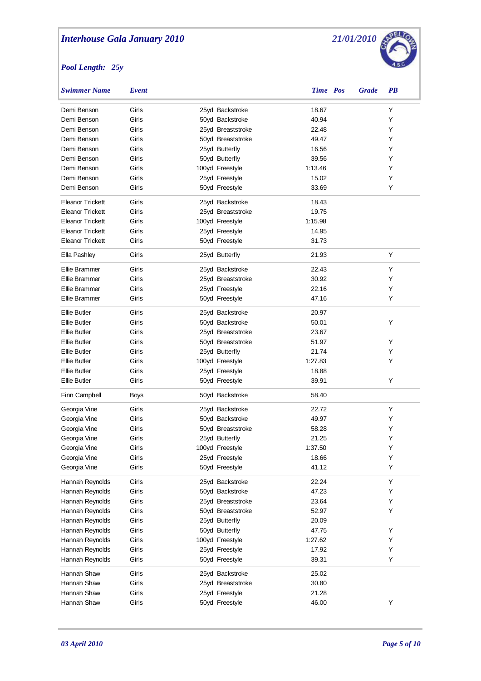

| <b>Swimmer Name</b>     | Event |                   | <b>Time</b> Pos | <b>Grade</b> | $\overline{PB}$ |
|-------------------------|-------|-------------------|-----------------|--------------|-----------------|
| Demi Benson             | Girls | 25yd Backstroke   | 18.67           |              | Υ               |
| Demi Benson             | Girls | 50yd Backstroke   | 40.94           |              | Υ               |
| Demi Benson             | Girls | 25yd Breaststroke | 22.48           |              | Υ               |
| Demi Benson             | Girls | 50yd Breaststroke | 49.47           |              | Υ               |
| Demi Benson             | Girls | 25yd Butterfly    | 16.56           |              | Υ               |
| Demi Benson             | Girls | 50yd Butterfly    | 39.56           |              | Υ               |
| Demi Benson             | Girls | 100yd Freestyle   | 1:13.46         |              | Υ               |
| Demi Benson             | Girls | 25yd Freestyle    | 15.02           |              | Υ               |
| Demi Benson             | Girls | 50yd Freestyle    | 33.69           |              | Υ               |
| Eleanor Trickett        | Girls | 25yd Backstroke   | 18.43           |              |                 |
| Eleanor Trickett        | Girls | 25yd Breaststroke | 19.75           |              |                 |
| Eleanor Trickett        | Girls | 100yd Freestyle   | 1:15.98         |              |                 |
| Eleanor Trickett        | Girls | 25yd Freestyle    | 14.95           |              |                 |
| <b>Eleanor Trickett</b> | Girls | 50yd Freestyle    | 31.73           |              |                 |
| Ella Pashley            | Girls | 25yd Butterfly    | 21.93           |              | Υ               |
| Ellie Brammer           | Girls | 25yd Backstroke   | 22.43           |              | Υ               |
| Ellie Brammer           | Girls | 25yd Breaststroke | 30.92           |              | Υ               |
| Ellie Brammer           | Girls | 25yd Freestyle    | 22.16           |              | Υ               |
| Ellie Brammer           | Girls | 50yd Freestyle    | 47.16           |              | Υ               |
|                         |       |                   |                 |              |                 |
| <b>Ellie Butler</b>     | Girls | 25yd Backstroke   | 20.97           |              |                 |
| <b>Ellie Butler</b>     | Girls | 50yd Backstroke   | 50.01           |              | Υ               |
| <b>Ellie Butler</b>     | Girls | 25yd Breaststroke | 23.67           |              |                 |
| <b>Ellie Butler</b>     | Girls | 50yd Breaststroke | 51.97           |              | Y               |
| <b>Ellie Butler</b>     | Girls | 25yd Butterfly    | 21.74           |              | Y               |
| <b>Ellie Butler</b>     | Girls | 100yd Freestyle   | 1:27.83         |              | Υ               |
| <b>Ellie Butler</b>     | Girls | 25yd Freestyle    | 18.88           |              |                 |
| <b>Ellie Butler</b>     | Girls | 50yd Freestyle    | 39.91           |              | Υ               |
| Finn Campbell           | Boys  | 50yd Backstroke   | 58.40           |              |                 |
| Georgia Vine            | Girls | 25yd Backstroke   | 22.72           |              | Y               |
| Georgia Vine            | Girls | 50yd Backstroke   | 49.97           |              | Y               |
| Georgia Vine            | Girls | 50yd Breaststroke | 58.28           |              | Υ               |
| Georgia Vine            | Girls | 25yd Butterfly    | 21.25           |              | Υ               |
| Georgia Vine            | Girls | 100yd Freestyle   | 1:37.50         |              | Υ               |
| Georgia Vine            | Girls | 25yd Freestyle    | 18.66           |              | Υ               |
| Georgia Vine            | Girls | 50yd Freestyle    | 41.12           |              | Y               |
| Hannah Reynolds         | Girls | 25yd Backstroke   | 22.24           |              | Υ               |
| Hannah Reynolds         | Girls | 50yd Backstroke   | 47.23           |              | Y               |
| Hannah Reynolds         | Girls | 25yd Breaststroke | 23.64           |              | Y               |
| Hannah Reynolds         | Girls | 50yd Breaststroke | 52.97           |              | Y               |
| Hannah Reynolds         | Girls | 25yd Butterfly    | 20.09           |              |                 |
| Hannah Reynolds         | Girls | 50yd Butterfly    | 47.75           |              | Υ               |
| Hannah Reynolds         | Girls | 100yd Freestyle   | 1:27.62         |              | Y               |
| Hannah Reynolds         | Girls | 25yd Freestyle    | 17.92           |              | Y               |
| Hannah Reynolds         | Girls | 50yd Freestyle    | 39.31           |              | Υ               |
| Hannah Shaw             | Girls | 25yd Backstroke   | 25.02           |              |                 |
| Hannah Shaw             | Girls | 25yd Breaststroke | 30.80           |              |                 |
| Hannah Shaw             | Girls | 25yd Freestyle    | 21.28           |              |                 |
| Hannah Shaw             | Girls | 50yd Freestyle    | 46.00           |              | Υ               |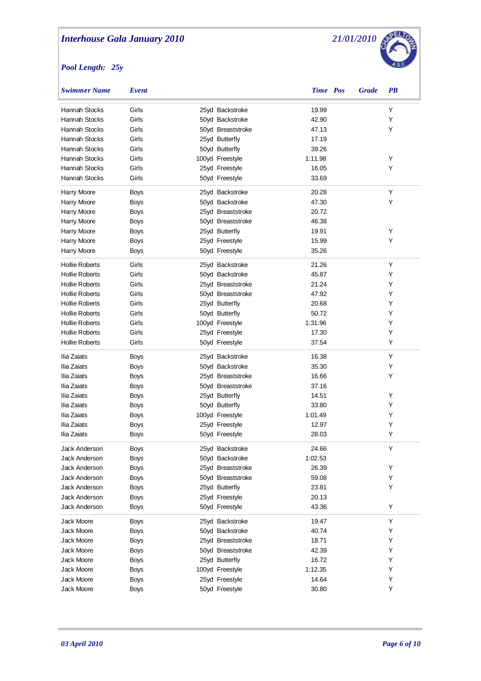

| <b>Swimmer Name</b>   | Event       |                   | <b>Time</b> Pos | <b>Grade</b> | $\overline{PB}$ |
|-----------------------|-------------|-------------------|-----------------|--------------|-----------------|
| Hannah Stocks         | Girls       | 25yd Backstroke   | 19.99           |              | Υ               |
| Hannah Stocks         | Girls       | 50yd Backstroke   | 42.90           |              | Υ               |
| Hannah Stocks         | Girls       | 50yd Breaststroke | 47.13           |              | Υ               |
| Hannah Stocks         | Girls       | 25yd Butterfly    | 17.19           |              |                 |
| Hannah Stocks         | Girls       | 50yd Butterfly    | 39.26           |              |                 |
| Hannah Stocks         | Girls       | 100yd Freestyle   | 1:11.98         |              | Υ               |
| Hannah Stocks         | Girls       | 25yd Freestyle    | 16.05           |              | Υ               |
| Hannah Stocks         | Girls       | 50yd Freestyle    | 33.69           |              |                 |
| Harry Moore           | <b>Boys</b> | 25yd Backstroke   | 20.28           |              | Υ               |
| Harry Moore           | <b>Boys</b> | 50yd Backstroke   | 47.30           |              | Υ               |
| Harry Moore           | <b>Boys</b> | 25yd Breaststroke | 20.72           |              |                 |
| Harry Moore           | <b>Boys</b> | 50yd Breaststroke | 46.38           |              |                 |
| Harry Moore           | <b>Boys</b> | 25yd Butterfly    | 19.91           |              | Υ               |
| Harry Moore           | <b>Boys</b> | 25yd Freestyle    | 15.99           |              | Υ               |
| Harry Moore           | <b>Boys</b> | 50yd Freestyle    | 35.26           |              |                 |
| <b>Hollie Roberts</b> | Girls       | 25yd Backstroke   | 21.26           |              | Υ               |
| <b>Hollie Roberts</b> | Girls       | 50yd Backstroke   | 45.87           |              | Y               |
| <b>Hollie Roberts</b> | Girls       | 25yd Breaststroke | 21.24           |              | Y               |
| <b>Hollie Roberts</b> | Girls       | 50yd Breaststroke | 47.92           |              | Y               |
| <b>Hollie Roberts</b> | Girls       | 25yd Butterfly    | 20.68           |              | Y               |
| <b>Hollie Roberts</b> | Girls       | 50yd Butterfly    | 50.72           |              | Y               |
| <b>Hollie Roberts</b> | Girls       | 100yd Freestyle   | 1:31.96         |              | Y               |
| <b>Hollie Roberts</b> | Girls       | 25yd Freestyle    | 17.30           |              | Y               |
| <b>Hollie Roberts</b> | Girls       | 50yd Freestyle    | 37.54           |              | Y               |
| Ilia Zaiats           | <b>Boys</b> | 25yd Backstroke   | 16.38           |              | Υ               |
| Ilia Zaiats           | <b>Boys</b> | 50yd Backstroke   | 35.30           |              | Y               |
| Ilia Zaiats           | <b>Boys</b> | 25yd Breaststroke | 16.66           |              | Y               |
| Ilia Zaiats           | <b>Boys</b> | 50yd Breaststroke | 37.16           |              |                 |
| Ilia Zaiats           | <b>Boys</b> | 25yd Butterfly    | 14.51           |              | Υ               |
| Ilia Zaiats           | <b>Boys</b> | 50yd Butterfly    | 33.80           |              | Y               |
| Ilia Zaiats           | <b>Boys</b> | 100yd Freestyle   | 1:01.49         |              | Y               |
| Ilia Zaiats           | <b>Boys</b> | 25yd Freestyle    | 12.97           |              | Υ               |
| Ilia Zaiats           | Boys        | 50yd Freestyle    | 28.03           |              | Y               |
| Jack Anderson         | Boys        | 25yd Backstroke   | 24.66           |              | Y               |
| Jack Anderson         | Boys        | 50yd Backstroke   | 1:02.53         |              |                 |
| Jack Anderson         | <b>Boys</b> | 25yd Breaststroke | 26.39           |              | Υ               |
| Jack Anderson         | Boys        | 50yd Breaststroke | 59.08           |              | Y               |
| Jack Anderson         | <b>Boys</b> | 25yd Butterfly    | 23.81           |              | Y               |
| Jack Anderson         | <b>Boys</b> | 25yd Freestyle    | 20.13           |              |                 |
| Jack Anderson         | Boys        | 50yd Freestyle    | 43.36           |              | Y               |
| Jack Moore            | Boys        | 25yd Backstroke   | 19.47           |              | Υ               |
| Jack Moore            | Boys        | 50yd Backstroke   | 40.74           |              | Υ               |
| Jack Moore            | Boys        | 25yd Breaststroke | 18.71           |              | Y               |
| Jack Moore            | Boys        | 50yd Breaststroke | 42.39           |              | Υ               |
| Jack Moore            | Boys        | 25yd Butterfly    | 16.72           |              | Υ               |
| Jack Moore            | Boys        | 100yd Freestyle   | 1:12.35         |              | Υ               |
| Jack Moore            | <b>Boys</b> | 25yd Freestyle    | 14.64           |              | Υ               |
| Jack Moore            | <b>Boys</b> | 50yd Freestyle    | 30.80           |              | Υ               |
|                       |             |                   |                 |              |                 |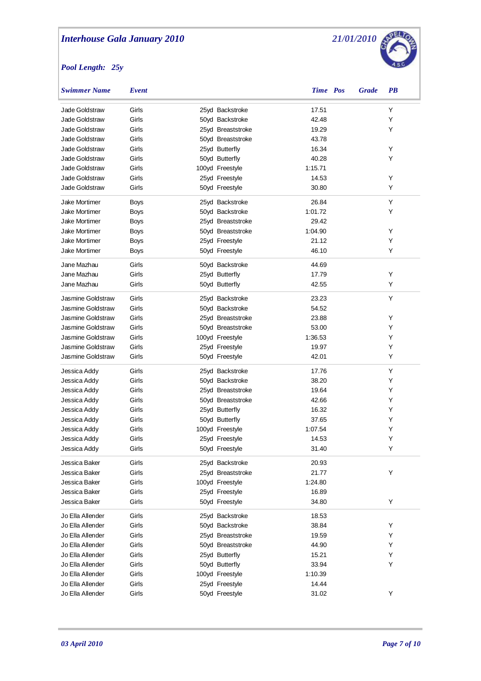

| <b>Swimmer Name</b>  | Event       |                   | Time Pos | <b>Grade</b> | <b>PB</b> |
|----------------------|-------------|-------------------|----------|--------------|-----------|
| Jade Goldstraw       | Girls       | 25yd Backstroke   | 17.51    |              | Y         |
| Jade Goldstraw       | Girls       | 50yd Backstroke   | 42.48    |              | Y         |
| Jade Goldstraw       | Girls       | 25yd Breaststroke | 19.29    |              | Y         |
| Jade Goldstraw       | Girls       | 50yd Breaststroke | 43.78    |              |           |
| Jade Goldstraw       | Girls       | 25yd Butterfly    | 16.34    |              | Υ         |
| Jade Goldstraw       | Girls       | 50yd Butterfly    | 40.28    |              | Y         |
| Jade Goldstraw       | Girls       | 100yd Freestyle   | 1:15.71  |              |           |
| Jade Goldstraw       | Girls       | 25yd Freestyle    | 14.53    |              | Υ         |
| Jade Goldstraw       | Girls       | 50yd Freestyle    | 30.80    |              | Y         |
| Jake Mortimer        | <b>Boys</b> | 25yd Backstroke   | 26.84    |              | Υ         |
| <b>Jake Mortimer</b> | <b>Boys</b> | 50yd Backstroke   | 1:01.72  |              | Y         |
| <b>Jake Mortimer</b> | <b>Boys</b> | 25yd Breaststroke | 29.42    |              |           |
| <b>Jake Mortimer</b> | <b>Boys</b> | 50yd Breaststroke | 1:04.90  |              | Υ         |
| <b>Jake Mortimer</b> | <b>Boys</b> | 25yd Freestyle    | 21.12    |              | Υ         |
| <b>Jake Mortimer</b> | Boys        | 50yd Freestyle    | 46.10    |              | Υ         |
| Jane Mazhau          | Girls       | 50yd Backstroke   | 44.69    |              |           |
| Jane Mazhau          | Girls       | 25yd Butterfly    | 17.79    |              | Υ         |
| Jane Mazhau          | Girls       | 50yd Butterfly    | 42.55    |              | Y         |
| Jasmine Goldstraw    | Girls       | 25yd Backstroke   | 23.23    |              | Y         |
| Jasmine Goldstraw    | Girls       | 50yd Backstroke   | 54.52    |              |           |
| Jasmine Goldstraw    | Girls       | 25yd Breaststroke | 23.88    |              | Υ         |
| Jasmine Goldstraw    | Girls       | 50yd Breaststroke | 53.00    |              | Y         |
| Jasmine Goldstraw    | Girls       | 100yd Freestyle   | 1:36.53  |              | Y         |
| Jasmine Goldstraw    | Girls       | 25yd Freestyle    | 19.97    |              | Υ         |
| Jasmine Goldstraw    | Girls       | 50yd Freestyle    | 42.01    |              | Υ         |
| Jessica Addy         | Girls       | 25yd Backstroke   | 17.76    |              | Υ         |
| Jessica Addy         | Girls       | 50yd Backstroke   | 38.20    |              | Υ         |
| Jessica Addy         | Girls       | 25yd Breaststroke | 19.64    |              | Y         |
| Jessica Addy         | Girls       | 50yd Breaststroke | 42.66    |              | Y         |
| Jessica Addy         | Girls       | 25yd Butterfly    | 16.32    |              | Y         |
| Jessica Addy         | Girls       | 50yd Butterfly    | 37.65    |              | Y         |
| Jessica Addy         | Girls       | 100yd Freestyle   | 1:07.54  |              | Y         |
| Jessica Addy         | Girls       | 25yd Freestyle    | 14.53    |              | Y         |
| Jessica Addy         | Girls       | 50yd Freestyle    | 31.40    |              | Υ         |
| Jessica Baker        | Girls       | 25yd Backstroke   | 20.93    |              |           |
| Jessica Baker        | Girls       | 25yd Breaststroke | 21.77    |              | Υ         |
| Jessica Baker        | Girls       | 100yd Freestyle   | 1:24.80  |              |           |
| Jessica Baker        | Girls       | 25yd Freestyle    | 16.89    |              |           |
| Jessica Baker        | Girls       | 50yd Freestyle    | 34.80    |              | Υ         |
| Jo Ella Allender     | Girls       | 25yd Backstroke   | 18.53    |              |           |
| Jo Ella Allender     | Girls       | 50yd Backstroke   | 38.84    |              | Y         |
| Jo Ella Allender     | Girls       | 25yd Breaststroke | 19.59    |              | Y         |
| Jo Ella Allender     | Girls       | 50yd Breaststroke | 44.90    |              | Υ         |
| Jo Ella Allender     | Girls       | 25yd Butterfly    | 15.21    |              | Υ         |
| Jo Ella Allender     | Girls       | 50yd Butterfly    | 33.94    |              | Υ         |
| Jo Ella Allender     | Girls       | 100yd Freestyle   | 1:10.39  |              |           |
| Jo Ella Allender     | Girls       | 25yd Freestyle    | 14.44    |              |           |
| Jo Ella Allender     | Girls       | 50yd Freestyle    | 31.02    |              | Y         |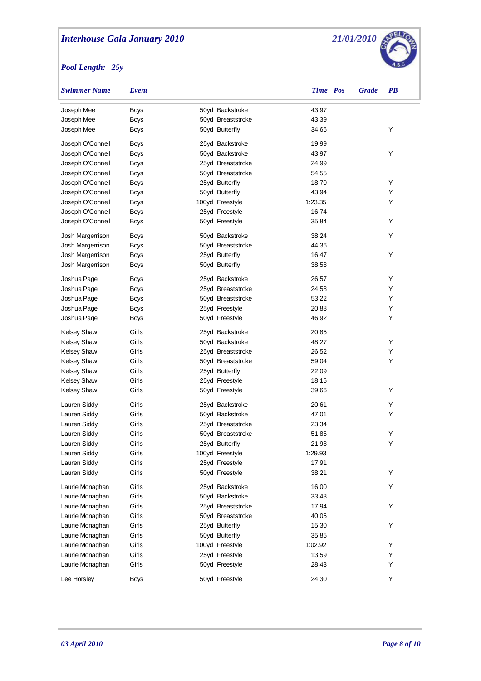

| <b>Swimmer Name</b> | Event       |                   | Time Pos | <b>Grade</b> | <b>PB</b> |
|---------------------|-------------|-------------------|----------|--------------|-----------|
| Joseph Mee          | <b>Boys</b> | 50yd Backstroke   | 43.97    |              |           |
| Joseph Mee          | <b>Boys</b> | 50yd Breaststroke | 43.39    |              |           |
| Joseph Mee          | <b>Boys</b> | 50yd Butterfly    | 34.66    |              | Υ         |
| Joseph O'Connell    | <b>Boys</b> | 25yd Backstroke   | 19.99    |              |           |
| Joseph O'Connell    | <b>Boys</b> | 50yd Backstroke   | 43.97    |              | Υ         |
| Joseph O'Connell    | <b>Boys</b> | 25yd Breaststroke | 24.99    |              |           |
| Joseph O'Connell    | <b>Boys</b> | 50yd Breaststroke | 54.55    |              |           |
| Joseph O'Connell    | <b>Boys</b> | 25yd Butterfly    | 18.70    |              | Υ         |
| Joseph O'Connell    | <b>Boys</b> | 50yd Butterfly    | 43.94    |              | Υ         |
| Joseph O'Connell    | <b>Boys</b> | 100yd Freestyle   | 1:23.35  |              | Υ         |
| Joseph O'Connell    | <b>Boys</b> | 25yd Freestyle    | 16.74    |              |           |
| Joseph O'Connell    | <b>Boys</b> | 50yd Freestyle    | 35.84    |              | Υ         |
| Josh Margerrison    | <b>Boys</b> | 50yd Backstroke   | 38.24    |              | Y         |
| Josh Margerrison    | Boys        | 50yd Breaststroke | 44.36    |              |           |
| Josh Margerrison    | <b>Boys</b> | 25yd Butterfly    | 16.47    |              | Υ         |
| Josh Margerrison    | Boys        | 50yd Butterfly    | 38.58    |              |           |
| Joshua Page         | Boys        | 25yd Backstroke   | 26.57    |              | Υ         |
| Joshua Page         | Boys        | 25yd Breaststroke | 24.58    |              | Υ         |
| Joshua Page         | Boys        | 50yd Breaststroke | 53.22    |              | Υ         |
| Joshua Page         | Boys        | 25yd Freestyle    | 20.88    |              | Υ         |
| Joshua Page         | Boys        | 50yd Freestyle    | 46.92    |              | Υ         |
|                     |             |                   |          |              |           |
| <b>Kelsey Shaw</b>  | Girls       | 25yd Backstroke   | 20.85    |              |           |
| <b>Kelsey Shaw</b>  | Girls       | 50yd Backstroke   | 48.27    |              | Υ         |
| <b>Kelsey Shaw</b>  | Girls       | 25yd Breaststroke | 26.52    |              | Y         |
| <b>Kelsey Shaw</b>  | Girls       | 50yd Breaststroke | 59.04    |              | Y         |
| <b>Kelsey Shaw</b>  | Girls       | 25yd Butterfly    | 22.09    |              |           |
| <b>Kelsey Shaw</b>  | Girls       | 25yd Freestyle    | 18.15    |              |           |
| <b>Kelsey Shaw</b>  | Girls       | 50yd Freestyle    | 39.66    |              | Υ         |
| Lauren Siddy        | Girls       | 25yd Backstroke   | 20.61    |              | Υ         |
| Lauren Siddy        | Girls       | 50yd Backstroke   | 47.01    |              | Υ         |
| Lauren Siddy        | Girls       | 25yd Breaststroke | 23.34    |              |           |
| Lauren Siddy        | Girls       | 50yd Breaststroke | 51.86    |              | Υ         |
| Lauren Siddy        | Girls       | 25yd Butterfly    | 21.98    |              | Υ         |
| Lauren Siddy        | Girls       | 100yd Freestyle   | 1:29.93  |              |           |
| Lauren Siddy        | Girls       | 25yd Freestyle    | 17.91    |              |           |
| Lauren Siddy        | Girls       | 50yd Freestyle    | 38.21    |              | Υ         |
| Laurie Monaghan     | Girls       | 25yd Backstroke   | 16.00    |              | Υ         |
| Laurie Monaghan     | Girls       | 50yd Backstroke   | 33.43    |              |           |
| Laurie Monaghan     | Girls       | 25yd Breaststroke | 17.94    |              | Υ         |
| Laurie Monaghan     | Girls       | 50yd Breaststroke | 40.05    |              |           |
| Laurie Monaghan     | Girls       | 25yd Butterfly    | 15.30    |              | Υ         |
| Laurie Monaghan     | Girls       | 50yd Butterfly    | 35.85    |              |           |
| Laurie Monaghan     | Girls       | 100yd Freestyle   | 1:02.92  |              | Υ         |
| Laurie Monaghan     | Girls       | 25yd Freestyle    | 13.59    |              | Υ         |
| Laurie Monaghan     | Girls       | 50yd Freestyle    | 28.43    |              | Υ         |
| Lee Horsley         | <b>Boys</b> | 50yd Freestyle    | 24.30    |              | Υ         |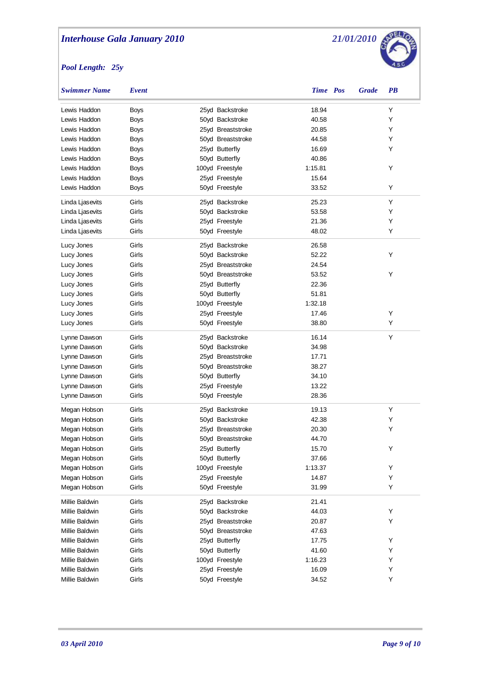

| Swimmer Name    | Event       |                   | <b>Time Pos</b> | <b>Grade</b> | <b>PB</b> |
|-----------------|-------------|-------------------|-----------------|--------------|-----------|
| Lewis Haddon    | <b>Boys</b> | 25yd Backstroke   | 18.94           |              | Υ         |
| Lewis Haddon    | <b>Boys</b> | 50yd Backstroke   | 40.58           |              | Υ         |
| Lewis Haddon    | Boys        | 25yd Breaststroke | 20.85           |              | Υ         |
| Lewis Haddon    | Boys        | 50yd Breaststroke | 44.58           |              | Υ         |
| Lewis Haddon    | Boys        | 25yd Butterfly    | 16.69           |              | Υ         |
| Lewis Haddon    | Boys        | 50yd Butterfly    | 40.86           |              |           |
| Lewis Haddon    | Boys        | 100yd Freestyle   | 1:15.81         |              | Y         |
| Lewis Haddon    | <b>Boys</b> | 25yd Freestyle    | 15.64           |              |           |
| Lewis Haddon    | Boys        | 50yd Freestyle    | 33.52           |              | Υ         |
| Linda Ljasevits | Girls       | 25yd Backstroke   | 25.23           |              | Υ         |
| Linda Ljasevits | Girls       | 50yd Backstroke   | 53.58           |              | Υ         |
| Linda Ljasevits | Girls       | 25yd Freestyle    | 21.36           |              | Υ         |
| Linda Ljasevits | Girls       | 50yd Freestyle    | 48.02           |              | Y         |
| Lucy Jones      | Girls       | 25yd Backstroke   | 26.58           |              |           |
| Lucy Jones      | Girls       | 50yd Backstroke   | 52.22           |              | Y         |
| Lucy Jones      | Girls       | 25yd Breaststroke | 24.54           |              |           |
| Lucy Jones      | Girls       | 50yd Breaststroke | 53.52           |              | Y         |
| Lucy Jones      | Girls       | 25yd Butterfly    | 22.36           |              |           |
| Lucy Jones      | Girls       | 50yd Butterfly    | 51.81           |              |           |
| Lucy Jones      | Girls       | 100yd Freestyle   | 1:32.18         |              |           |
| Lucy Jones      | Girls       | 25yd Freestyle    | 17.46           |              | Y         |
| Lucy Jones      | Girls       | 50yd Freestyle    | 38.80           |              | Υ         |
| Lynne Dawson    | Girls       | 25yd Backstroke   | 16.14           |              | Y         |
| Lynne Dawson    | Girls       | 50yd Backstroke   | 34.98           |              |           |
| Lynne Dawson    | Girls       | 25yd Breaststroke | 17.71           |              |           |
| Lynne Dawson    | Girls       | 50yd Breaststroke | 38.27           |              |           |
| Lynne Dawson    | Girls       | 50yd Butterfly    | 34.10           |              |           |
| Lynne Dawson    | Girls       | 25yd Freestyle    | 13.22           |              |           |
| Lynne Dawson    | Girls       | 50yd Freestyle    | 28.36           |              |           |
| Megan Hobson    | Girls       | 25yd Backstroke   | 19.13           |              | Y         |
| Megan Hobson    | Girls       | 50yd Backstroke   | 42.38           |              | Υ         |
| Megan Hobson    | Girls       | 25yd Breaststroke | 20.30           |              | Y         |
| Megan Hobson    | Girls       | 50yd Breaststroke | 44.70           |              |           |
| Megan Hobson    | Girls       | 25yd Butterfly    | 15.70           |              | Y         |
| Megan Hobson    | Girls       | 50yd Butterfly    | 37.66           |              |           |
| Megan Hobson    | Girls       | 100yd Freestyle   | 1:13.37         |              | Υ         |
| Megan Hobson    | Girls       | 25yd Freestyle    | 14.87           |              | Υ         |
| Megan Hobson    | Girls       | 50yd Freestyle    | 31.99           |              | Υ         |
| Millie Baldwin  | Girls       | 25yd Backstroke   | 21.41           |              |           |
| Millie Baldwin  | Girls       | 50yd Backstroke   | 44.03           |              | Υ         |
| Millie Baldwin  | Girls       | 25yd Breaststroke | 20.87           |              | Υ         |
| Millie Baldwin  | Girls       | 50yd Breaststroke | 47.63           |              |           |
| Millie Baldwin  | Girls       | 25yd Butterfly    | 17.75           |              | Υ         |
| Millie Baldwin  | Girls       | 50yd Butterfly    | 41.60           |              | Υ         |
| Millie Baldwin  | Girls       | 100yd Freestyle   | 1:16.23         |              | Υ         |
| Millie Baldwin  | Girls       | 25yd Freestyle    | 16.09           |              | Υ         |
| Millie Baldwin  | Girls       | 50yd Freestyle    | 34.52           |              | Υ         |